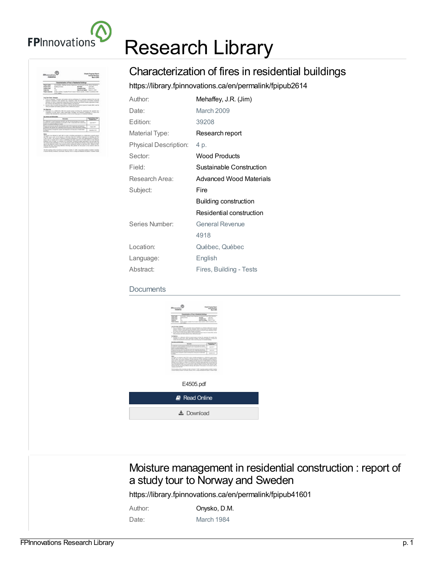

# Research Library

# e Paugress Rayont<br>General Rommun The first paying of the Crosschop was ball as OOM at 71,200. Capables position included Claudian and Contact the Contact Manager of the Contact Contact Contact Contact Contact Contact Contact Contact Contact Contact Contac

## Characterization of fires in residential buildings

<https://library.fpinnovations.ca/en/permalink/fpipub2614>

| Author:               | Mehaffey, J.R. (Jim)     |
|-----------------------|--------------------------|
| Date:                 | March 2009               |
| Edition:              | 39208                    |
| Material Type:        | Research report          |
| Physical Description: | 4 p.                     |
| Sector:               | <b>Wood Products</b>     |
| Field:                | Sustainable Construction |
| Research Area:        | Advanced Wood Materials  |
| Subject:              | Fire                     |
|                       | Building construction    |
|                       | Residential construction |
| Series Number:        | <b>General Revenue</b>   |
|                       | 4918                     |
| Location:             | Québec, Québec           |
| Language:             | English                  |
| Abstract:             | Fires, Building - Tests  |

#### **Documents**

| <b><i>Diversion Sand</i></b><br><b>REACTIVE</b>                                                                                                                                                                                                                                                                                                                                                                                                                                                                                                                                      | <b>Steph Tropies Report</b><br><b>Searchboard</b><br>Barriotte  |  |
|--------------------------------------------------------------------------------------------------------------------------------------------------------------------------------------------------------------------------------------------------------------------------------------------------------------------------------------------------------------------------------------------------------------------------------------------------------------------------------------------------------------------------------------------------------------------------------------|-----------------------------------------------------------------|--|
| Detected and Plan in Restaurant Editings<br>to bright work."<br><b>Wallace</b><br>$\sim$<br><b>Western Home</b><br><b>Solice Street</b><br><b>Carl Carr</b><br><b>SHARACHER STATISTICS</b><br><b>Build Bat</b><br>$\sim$<br>banda.<br>$\sim$<br><b>Restures</b> In the Artist Leder Restricts Engineers, Alaba continued M<br>$\sim$                                                                                                                                                                                                                                                 | Top Trac<br><b>SERVICE</b><br><b>Bandial Bater</b> , Sept 1-180 |  |
| and bestimm through<br>This scatter income at publication of control operation could<br>phones, a relationship to a product of the state and a space length.<br>. And the first project that the project that the best of the field of the field of the field of the field of the field of the field of the field of the field of the field of the field of the field of the field of the fiel<br>the pressure of shot other as in a discovery car.<br><b>Building</b>                                                                                                               |                                                                 |  |
| The special contribution of the second state models to represent the posts that the second contribution of the second contribution of the second contribution of the second contribution of the second contribution of the sec                                                                                                                                                                                                                                                                                                                                                       |                                                                 |  |
| <b>SUSPICIOUS</b><br><b>Scotts</b><br>the first and game and the first school and                                                                                                                                                                                                                                                                                                                                                                                                                                                                                                    | <b>TURNER THE</b><br><b>John Hotel</b>                          |  |
| PARTY CARD EDGE SCHOOL FW LOANSE WILL ETG.<br>and condition while in this co-<br>handle and the material of the spatial party.<br>There are the primary states and the contract                                                                                                                                                                                                                                                                                                                                                                                                      | <b>SERVICE</b><br><b>SALES</b>                                  |  |
| $\sim$                                                                                                                                                                                                                                                                                                                                                                                                                                                                                                                                                                               | <b>SALES OF</b>                                                 |  |
| The pright was reduced by April 2007 to colour of a first operation to a colliderative state of paid<br>the first state of the company of the first state of the product of the<br>Service a head at a cop a golden. Such derive it has allow the filled<br>Althur all in back, by paids of a wallow indicate rate approach and same on<br>to cours to another time is a second art come to define the partial and<br>see a man a recent sets could also a see a series of the<br>Scient de las se prio del els monts de alter le de prior i de estatunide en<br>constructed fire on |                                                                 |  |
| Definitions the best was at which I be been associated better                                                                                                                                                                                                                                                                                                                                                                                                                                                                                                                        |                                                                 |  |
| E4505.pdf                                                                                                                                                                                                                                                                                                                                                                                                                                                                                                                                                                            |                                                                 |  |
| <b>A</b> Read Online                                                                                                                                                                                                                                                                                                                                                                                                                                                                                                                                                                 |                                                                 |  |
| $\frac{1}{2}$ Download                                                                                                                                                                                                                                                                                                                                                                                                                                                                                                                                                               |                                                                 |  |

### Moisture management in residential construction : report of a study tour to Norway and Sweden

<https://library.fpinnovations.ca/en/permalink/fpipub41601>

| Author: | Onysko, D.M. |
|---------|--------------|
| Date:   | March 1984   |